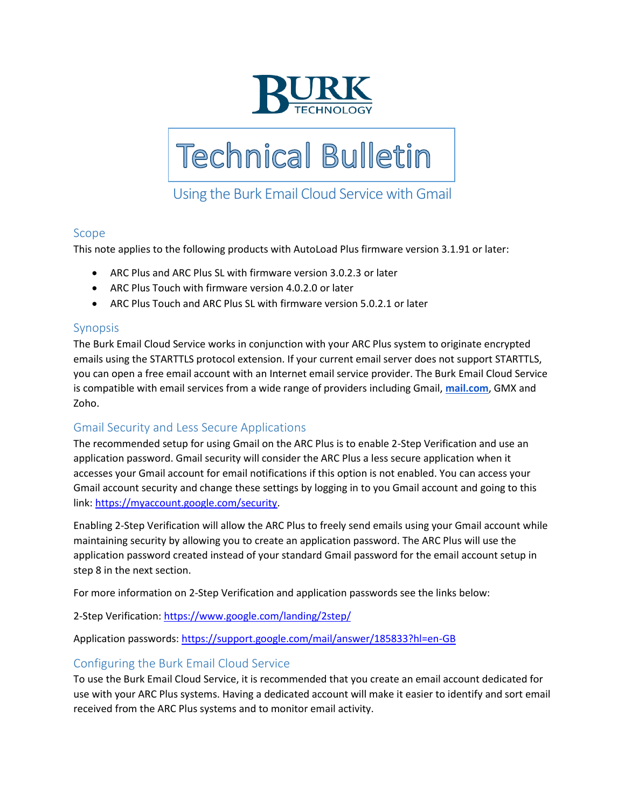



# Using the Burk Email Cloud Service with Gmail

#### Scope

This note applies to the following products with AutoLoad Plus firmware version 3.1.91 or later:

- ARC Plus and ARC Plus SL with firmware version 3.0.2.3 or later
- ARC Plus Touch with firmware version 4.0.2.0 or later
- ARC Plus Touch and ARC Plus SL with firmware version 5.0.2.1 or later

#### Synopsis

The Burk Email Cloud Service works in conjunction with your ARC Plus system to originate encrypted emails using the STARTTLS protocol extension. If your current email server does not support STARTTLS, you can open a free email account with an Internet email service provider. The Burk Email Cloud Service is compatible with email services from a wide range of providers including Gmail, **[mail.com](http://mail.com/)**, GMX and Zoho.

#### Gmail Security and Less Secure Applications

The recommended setup for using Gmail on the ARC Plus is to enable 2-Step Verification and use an application password. Gmail security will consider the ARC Plus a less secure application when it accesses your Gmail account for email notifications if this option is not enabled. You can access your Gmail account security and change these settings by logging in to you Gmail account and going to this link: [https://myaccount.google.com/security.](https://myaccount.google.com/security)

Enabling 2-Step Verification will allow the ARC Plus to freely send emails using your Gmail account while maintaining security by allowing you to create an application password. The ARC Plus will use the application password created instead of your standard Gmail password for the email account setup in step 8 in the next section.

For more information on 2-Step Verification and application passwords see the links below:

2-Step Verification[: https://www.google.com/landing/2step/](https://www.google.com/landing/2step/)

Application passwords:<https://support.google.com/mail/answer/185833?hl=en-GB>

## Configuring the Burk Email Cloud Service

To use the Burk Email Cloud Service, it is recommended that you create an email account dedicated for use with your ARC Plus systems. Having a dedicated account will make it easier to identify and sort email received from the ARC Plus systems and to monitor email activity.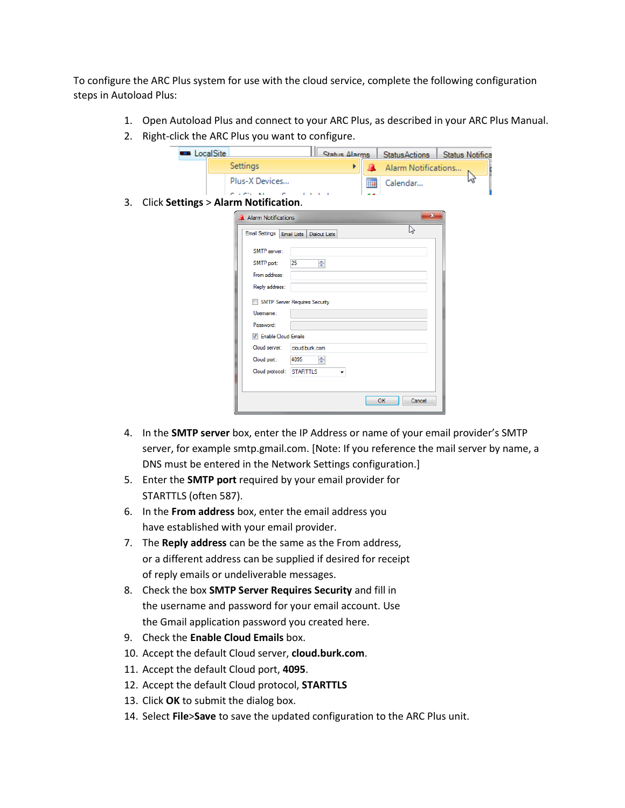To configure the ARC Plus system for use with the cloud service, complete the following configuration steps in Autoload Plus:

- 1. Open Autoload Plus and connect to your ARC Plus, as described in your ARC Plus Manual.
- 2. Right-click the ARC Plus you want to configure.

|    | <b>Example LocalSite</b> |                                                | <b>Status Alarms</b> | <b>StatusActions</b>     | <b>Status Notifica</b> |
|----|--------------------------|------------------------------------------------|----------------------|--------------------------|------------------------|
|    |                          | Settings                                       | ۲                    | A<br>Alarm Notifications |                        |
|    |                          | Plus-X Devices                                 |                      | ▦<br>Calendar            | M                      |
|    |                          |                                                |                      |                          |                        |
| 3. |                          | <b>Click Settings &gt; Alarm Notification.</b> |                      |                          |                        |
|    |                          | Alarm Notifications                            |                      | $\mathbf{x}$             |                        |
|    |                          | <b>Email Settings</b><br>Email Lists           | <b>Dialout Lists</b> | じ                        |                        |
|    |                          | SMTP server:                                   |                      |                          |                        |
|    |                          | 25<br>SMTP port:                               | $\Rightarrow$        |                          |                        |
|    |                          | From address:                                  |                      |                          |                        |
|    |                          | Reply address:                                 |                      |                          |                        |
|    |                          | <b>SMTP Server Requires Security</b>           |                      |                          |                        |
|    |                          | Usemame:                                       |                      |                          |                        |
|    |                          | Password:                                      |                      |                          |                        |
|    |                          | <b>V</b> Enable Cloud Emails                   |                      |                          |                        |
|    |                          | Cloud server:<br>cloud.burk.com                |                      |                          |                        |
|    |                          | Cloud port:<br>4095                            | 수                    |                          |                        |
|    |                          | <b>STARTTLS</b><br>Cloud protocol:             | ٠                    |                          |                        |
|    |                          |                                                |                      |                          |                        |
|    |                          |                                                |                      | OK<br>Cancel             |                        |
|    |                          |                                                |                      |                          |                        |

- 4. In the **SMTP server** box, enter the IP Address or name of your email provider's SMTP server, for example smtp.gmail.com. [Note: If you reference the mail server by name, a DNS must be entered in the Network Settings configuration.]
- 5. Enter the **SMTP port** required by your email provider for STARTTLS (often 587).
- 6. In the **From address** box, enter the email address you have established with your email provider.
- 7. The **Reply address** can be the same as the From address, or a different address can be supplied if desired for receipt of reply emails or undeliverable messages.
- 8. Check the box **SMTP Server Requires Security** and fill in the username and password for your email account. Use the Gmail application password you created here.
- 9. Check the **Enable Cloud Emails** box.
- 10. Accept the default Cloud server, **cloud.burk.com**.
- 11. Accept the default Cloud port, **4095**.
- 12. Accept the default Cloud protocol, **STARTTLS**
- 13. Click **OK** to submit the dialog box.
- 14. Select **File**>**Save** to save the updated configuration to the ARC Plus unit.